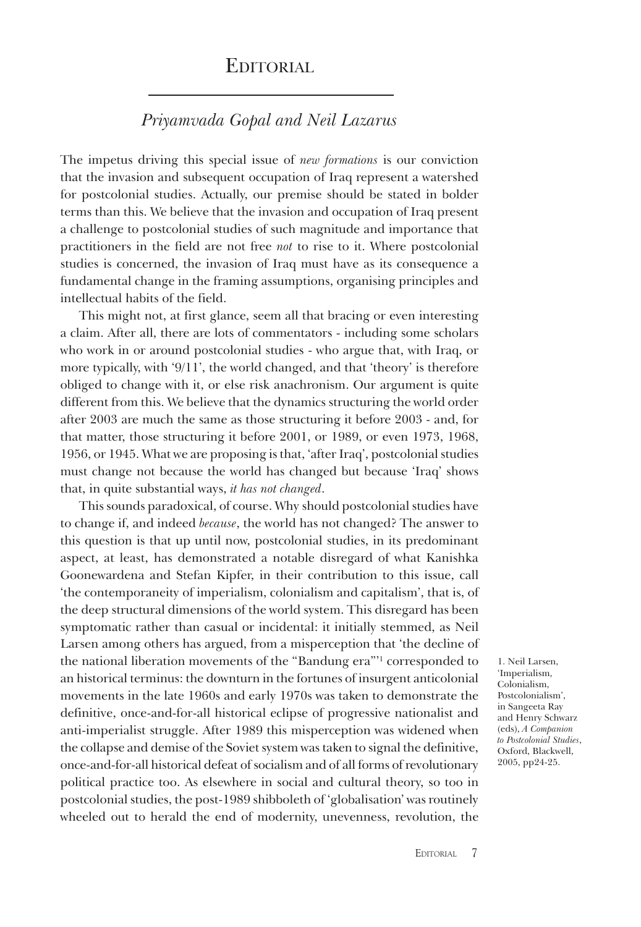## **EDITORIAL**

## *Priyamvada Gopal and Neil Lazarus*

The impetus driving this special issue of *new formations* is our conviction that the invasion and subsequent occupation of Iraq represent a watershed for postcolonial studies. Actually, our premise should be stated in bolder terms than this. We believe that the invasion and occupation of Iraq present a challenge to postcolonial studies of such magnitude and importance that practitioners in the field are not free *not* to rise to it. Where postcolonial studies is concerned, the invasion of Iraq must have as its consequence a fundamental change in the framing assumptions, organising principles and intellectual habits of the field.

This might not, at first glance, seem all that bracing or even interesting a claim. After all, there are lots of commentators - including some scholars who work in or around postcolonial studies - who argue that, with Iraq, or more typically, with '9/11', the world changed, and that 'theory' is therefore obliged to change with it, or else risk anachronism. Our argument is quite different from this. We believe that the dynamics structuring the world order after 2003 are much the same as those structuring it before 2003 - and, for that matter, those structuring it before 2001, or 1989, or even 1973, 1968, 1956, or 1945. What we are proposing is that, 'after Iraq', postcolonial studies must change not because the world has changed but because 'Iraq' shows that, in quite substantial ways, *it has not changed*.

This sounds paradoxical, of course. Why should postcolonial studies have to change if, and indeed *because*, the world has not changed? The answer to this question is that up until now, postcolonial studies, in its predominant aspect, at least, has demonstrated a notable disregard of what Kanishka Goonewardena and Stefan Kipfer, in their contribution to this issue, call 'the contemporaneity of imperialism, colonialism and capitalism', that is, of the deep structural dimensions of the world system. This disregard has been symptomatic rather than casual or incidental: it initially stemmed, as Neil Larsen among others has argued, from a misperception that 'the decline of the national liberation movements of the "Bandung era"'1 corresponded to an historical terminus: the downturn in the fortunes of insurgent anticolonial movements in the late 1960s and early 1970s was taken to demonstrate the definitive, once-and-for-all historical eclipse of progressive nationalist and anti-imperialist struggle. After 1989 this misperception was widened when the collapse and demise of the Soviet system was taken to signal the definitive, once-and-for-all historical defeat of socialism and of all forms of revolutionary political practice too. As elsewhere in social and cultural theory, so too in postcolonial studies, the post-1989 shibboleth of 'globalisation' was routinely wheeled out to herald the end of modernity, unevenness, revolution, the

1. Neil Larsen, 'Imperialism, Colonialism, Postcolonialism', in Sangeeta Ray and Henry Schwarz (eds), *A Companion to Postcolonial Studies*, Oxford, Blackwell, 2005, pp24-25.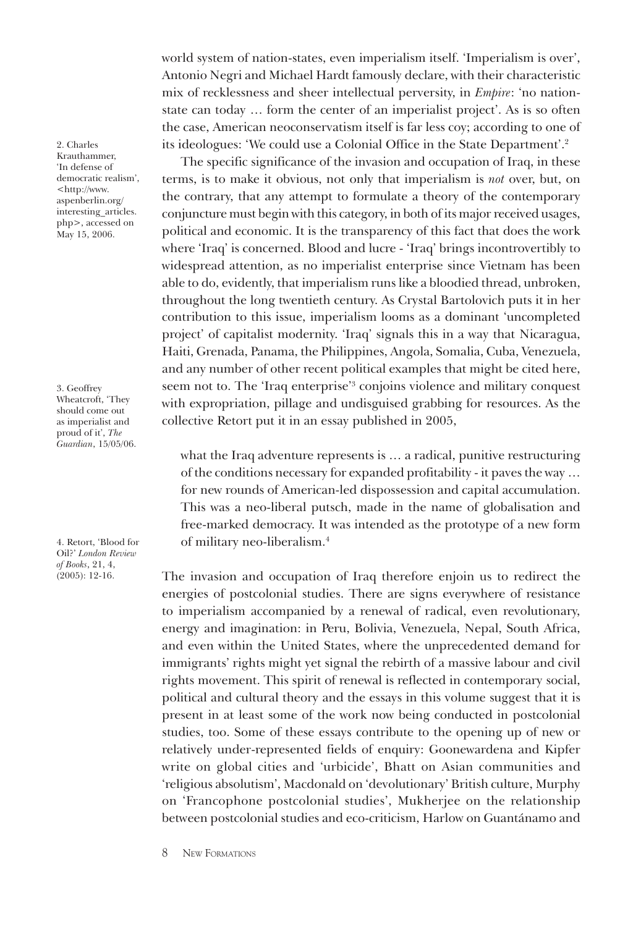world system of nation-states, even imperialism itself. 'Imperialism is over', Antonio Negri and Michael Hardt famously declare, with their characteristic mix of recklessness and sheer intellectual perversity, in *Empire*: 'no nationstate can today … form the center of an imperialist project'. As is so often the case, American neoconservatism itself is far less coy; according to one of its ideologues: 'We could use a Colonial Office in the State Department'.2

The specific significance of the invasion and occupation of Iraq, in these terms, is to make it obvious, not only that imperialism is *not* over, but, on the contrary, that any attempt to formulate a theory of the contemporary conjuncture must begin with this category, in both of its major received usages, political and economic. It is the transparency of this fact that does the work where 'Iraq' is concerned. Blood and lucre - 'Iraq' brings incontrovertibly to widespread attention, as no imperialist enterprise since Vietnam has been able to do, evidently, that imperialism runs like a bloodied thread, unbroken, throughout the long twentieth century. As Crystal Bartolovich puts it in her contribution to this issue, imperialism looms as a dominant 'uncompleted project' of capitalist modernity. 'Iraq' signals this in a way that Nicaragua, Haiti, Grenada, Panama, the Philippines, Angola, Somalia, Cuba, Venezuela, and any number of other recent political examples that might be cited here, seem not to. The 'Iraq enterprise'3 conjoins violence and military conquest with expropriation, pillage and undisguised grabbing for resources. As the collective Retort put it in an essay published in 2005,

what the Iraq adventure represents is … a radical, punitive restructuring of the conditions necessary for expanded profitability - it paves the way … for new rounds of American-led dispossession and capital accumulation. This was a neo-liberal putsch, made in the name of globalisation and free-marked democracy. It was intended as the prototype of a new form of military neo-liberalism.4

The invasion and occupation of Iraq therefore enjoin us to redirect the energies of postcolonial studies. There are signs everywhere of resistance to imperialism accompanied by a renewal of radical, even revolutionary, energy and imagination: in Peru, Bolivia, Venezuela, Nepal, South Africa, and even within the United States, where the unprecedented demand for immigrants' rights might yet signal the rebirth of a massive labour and civil rights movement. This spirit of renewal is reflected in contemporary social, political and cultural theory and the essays in this volume suggest that it is present in at least some of the work now being conducted in postcolonial studies, too. Some of these essays contribute to the opening up of new or relatively under-represented fields of enquiry: Goonewardena and Kipfer write on global cities and 'urbicide', Bhatt on Asian communities and 'religious absolutism', Macdonald on 'devolutionary' British culture, Murphy on 'Francophone postcolonial studies', Mukherjee on the relationship between postcolonial studies and eco-criticism, Harlow on Guantánamo and

2. Charles Krauthammer, 'In defense of democratic realism', <http://www. aspenberlin.org/ interesting\_articles. php>, accessed on May 15, 2006.

3. Geoffrey Wheatcroft, 'They should come out as imperialist and proud of it', *The Guardian*, 15/05/06.

4. Retort, 'Blood for Oil?' *London Review of Books*, 21, 4, (2005): 12-16.